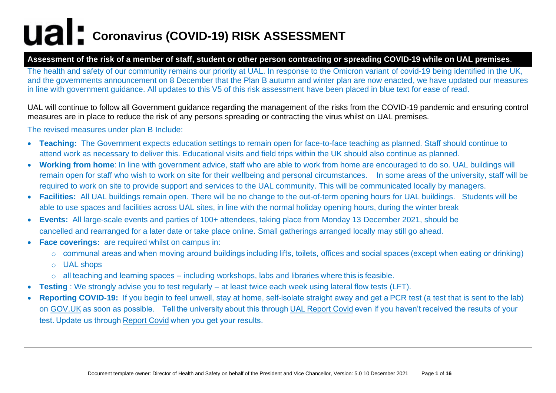#### **Assessment of the risk of a member of staff, student or other person contracting or spreading COVID-19 while on UAL premises**.

The health and safety of our community remains our priority at UAL. In response to the Omicron variant of covid-19 being identified in the UK, and the governments announcement on 8 December that the Plan B autumn and winter plan are now enacted, we have updated our measures in line with government guidance. All updates to this V5 of this risk assessment have been placed in blue text for ease of read.

UAL will continue to follow all Government guidance regarding the management of the risks from the COVID-19 pandemic and ensuring control measures are in place to reduce the risk of any persons spreading or contracting the virus whilst on UAL premises.

The revised measures under plan B Include:

- **Teaching:** The Government expects education settings to remain open for face-to-face teaching as planned. Staff should continue to attend work as necessary to deliver this. Educational visits and field trips within the UK should also continue as planned.
- **Working from home**: In line with government advice, staff who are able to work from home are encouraged to do so. UAL buildings will remain open for staff who wish to work on site for their wellbeing and personal circumstances. In some areas of the university, staff will be required to work on site to provide support and services to the UAL community. This will be communicated locally by managers.
- **Facilities:** All UAL buildings remain open. There will be no change to the out-of-term opening hours for UAL buildings. Students will be able to use spaces and facilities across UAL sites, in line with the normal holiday opening hours, during the winter break
- **Events:** All large-scale events and parties of 100+ attendees, taking place from Monday 13 December 2021, should be cancelled and rearranged for a later date or take place online. Small gatherings arranged locally may still go ahead.
- **Face coverings:** are required whilst on campus in:
	- o communal areas and when moving around buildings including lifts, toilets, offices and social spaces (except when eating or drinking)
	- o UAL shops
	- o all teaching and learning spaces including workshops, labs and libraries where this is feasible.
- **Testing** : We strongly advise you to test regularly at least twice each week using lateral flow tests (LFT).
- **Reporting COVID-19:** If you begin to feel unwell, stay at home, self-isolate straight away and get a[PCR test \(a test that is sent to the lab\)](https://arts.us8.list-manage.com/track/click?u=9611fa420444f5b2d126d68be&id=9d82c42686&e=fadea5d1d0)  [on GOV.UK](https://arts.us8.list-manage.com/track/click?u=9611fa420444f5b2d126d68be&id=9d82c42686&e=fadea5d1d0) as soon as possible.   Tell the university about this through[UAL Report Covid](https://arts.us8.list-manage.com/track/click?u=9611fa420444f5b2d126d68be&id=bbaab1646e&e=fadea5d1d0) even if you haven't received the results of your test. Update us through[Report Covid](https://arts.us8.list-manage.com/track/click?u=9611fa420444f5b2d126d68be&id=4e02a0689a&e=fadea5d1d0) when you get your results.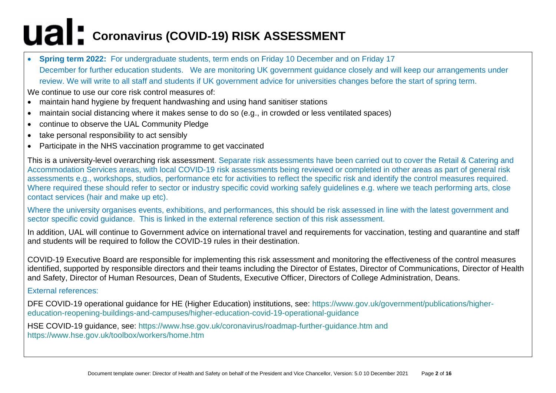• **Spring term 2022:** For undergraduate students, term ends on Friday 10 December and on Friday 17 December for further education students. We are monitoring UK government guidance closely and will keep our arrangements under review. We will write to all staff and students if UK government advice for universities changes before the start of spring term.

We continue to use our core risk control measures of:

- maintain hand hygiene by frequent handwashing and using hand sanitiser stations
- maintain social distancing where it makes sense to do so (e.g., in crowded or less ventilated spaces)
- continue to observe the UAL Community Pledge
- take personal responsibility to act sensibly
- Participate in the NHS vaccination programme to get vaccinated

This is a university-level overarching risk assessment. Separate risk assessments have been carried out to cover the Retail & Catering and Accommodation Services areas, with local COVID-19 risk assessments being reviewed or completed in other areas as part of general risk assessments e.g., workshops, studios, performance etc for activities to reflect the specific risk and identify the control measures required. Where required these should refer to sector or industry specific covid working safely quidelines e.g. where we teach performing arts, close contact services (hair and make up etc).

Where the university organises events, exhibitions, and performances, this should be risk assessed in line with the latest government and sector specific covid guidance. This is linked in the external reference section of this risk assessment.

In addition, UAL will continue to Government advice on international travel and requirements for vaccination, testing and quarantine and staff and students will be required to follow the COVID-19 rules in their destination.

COVID-19 Executive Board are responsible for implementing this risk assessment and monitoring the effectiveness of the control measures identified, supported by responsible directors and their teams including the Director of Estates, Director of Communications, Director of Health and Safety, Director of Human Resources, Dean of Students, Executive Officer, Directors of College Administration, Deans.

#### External references:

DFE COVID-19 operational guidance for HE (Higher Education) institutions, see: [https://www.gov.uk/government/publications/higher](https://www.gov.uk/government/publications/higher-education-reopening-buildings-and-campuses/higher-education-covid-19-operational-guidance)[education-reopening-buildings-and-campuses/higher-education-covid-19-operational-guidance](https://www.gov.uk/government/publications/higher-education-reopening-buildings-and-campuses/higher-education-covid-19-operational-guidance)

HSE COVID-19 guidance, see: <https://www.hse.gov.uk/coronavirus/roadmap-further-guidance.htm> and https://www.hse.gov.uk/toolbox/workers/home.htm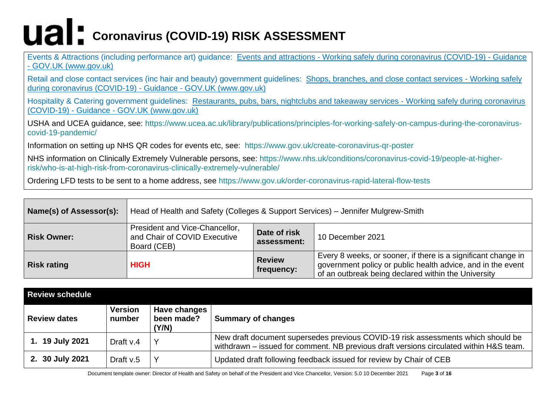Events & Attractions (including performance art) guidance: Events and attractions - [Working safely during coronavirus \(COVID-19\) -](https://www.gov.uk/guidance/working-safely-during-covid-19/events-and-attractions) Guidance - [GOV.UK \(www.gov.uk\)](https://www.gov.uk/guidance/working-safely-during-covid-19/events-and-attractions)

Retail and close contact services (inc hair and beauty) government guidelines: [Shops, branches, and close contact services -](https://www.gov.uk/guidance/working-safely-during-covid-19/shops-branches-and-close-contact-services) Working safely [during coronavirus \(COVID-19\) -](https://www.gov.uk/guidance/working-safely-during-covid-19/shops-branches-and-close-contact-services) Guidance - GOV.UK (www.gov.uk)

Hospitality & Catering government guidelines: [Restaurants, pubs, bars, nightclubs and takeaway services -](https://www.gov.uk/guidance/working-safely-during-covid-19/restaurants-pubs-bars-nightclubs-and-takeaway-services) Working safely during coronavirus (COVID-19) - Guidance - [GOV.UK \(www.gov.uk\)](https://www.gov.uk/guidance/working-safely-during-covid-19/restaurants-pubs-bars-nightclubs-and-takeaway-services)

USHA and UCEA guidance, see: [https://www.ucea.ac.uk/library/publications/principles-for-working-safely-on-campus-during-the-coronavirus](https://www.ucea.ac.uk/library/publications/principles-for-working-safely-on-campus-during-the-coronavirus-covid-19-pandemic/)[covid-19-pandemic/](https://www.ucea.ac.uk/library/publications/principles-for-working-safely-on-campus-during-the-coronavirus-covid-19-pandemic/)

Information on setting up NHS QR codes for events etc, see: <https://www.gov.uk/create-coronavirus-qr-poster>

NHS information on Clinically Extremely Vulnerable persons, see: [https://www.nhs.uk/conditions/coronavirus-covid-19/people-at-higher](https://www.nhs.uk/conditions/coronavirus-covid-19/people-at-higher-risk/who-is-at-high-risk-from-coronavirus-clinically-extremely-vulnerable/)[risk/who-is-at-high-risk-from-coronavirus-clinically-extremely-vulnerable/](https://www.nhs.uk/conditions/coronavirus-covid-19/people-at-higher-risk/who-is-at-high-risk-from-coronavirus-clinically-extremely-vulnerable/)

Ordering LFD tests to be sent to a home address, see<https://www.gov.uk/order-coronavirus-rapid-lateral-flow-tests>

| Name(s) of Assessor(s): | Head of Health and Safety (Colleges & Support Services) – Jennifer Mulgrew-Smith                             |                             |                                                                                                                                                                                     |  |  |
|-------------------------|--------------------------------------------------------------------------------------------------------------|-----------------------------|-------------------------------------------------------------------------------------------------------------------------------------------------------------------------------------|--|--|
| Risk Owner:             | President and Vice-Chancellor,<br>Date of risk<br>and Chair of COVID Executive<br>assessment:<br>Board (CEB) |                             | 10 December 2021                                                                                                                                                                    |  |  |
| <b>Risk rating</b>      | <b>HIGH</b>                                                                                                  | <b>Review</b><br>frequency: | Every 8 weeks, or sooner, if there is a significant change in<br>government policy or public health advice, and in the event<br>of an outbreak being declared within the University |  |  |

| <b>Review schedule</b> |                          |                                     |                                                                                                                                                                            |
|------------------------|--------------------------|-------------------------------------|----------------------------------------------------------------------------------------------------------------------------------------------------------------------------|
| <b>Review dates</b>    | <b>Version</b><br>number | Have changes<br>been made?<br>(Y/N) | <b>Summary of changes</b>                                                                                                                                                  |
| 1. 19 July 2021        | Draft v.4                |                                     | New draft document supersedes previous COVID-19 risk assessments which should be<br>withdrawn – issued for comment. NB previous draft versions circulated within H&S team. |
| 2. 30 July 2021        | Draft $v.5$              |                                     | Updated draft following feedback issued for review by Chair of CEB                                                                                                         |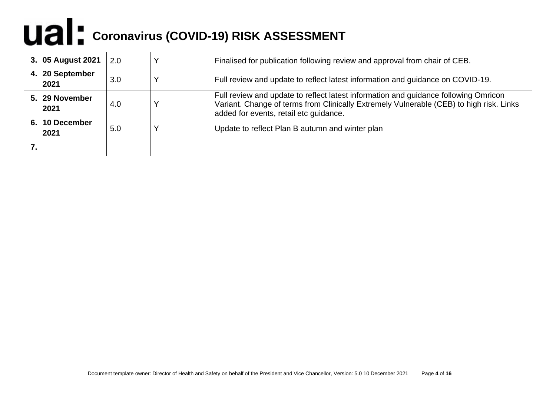| 3. 05 August 2021       | 2.0 | Finalised for publication following review and approval from chair of CEB.                                                                                                                                               |
|-------------------------|-----|--------------------------------------------------------------------------------------------------------------------------------------------------------------------------------------------------------------------------|
| 4. 20 September<br>2021 | 3.0 | Full review and update to reflect latest information and guidance on COVID-19.                                                                                                                                           |
| 5. 29 November<br>2021  | 4.0 | Full review and update to reflect latest information and guidance following Omricon<br>Variant. Change of terms from Clinically Extremely Vulnerable (CEB) to high risk. Links<br>added for events, retail etc quidance. |
| 6. 10 December<br>2021  | 5.0 | Update to reflect Plan B autumn and winter plan                                                                                                                                                                          |
|                         |     |                                                                                                                                                                                                                          |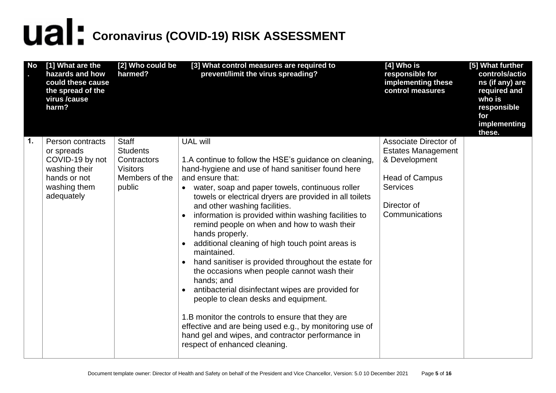| <b>No</b> | [1] What are the<br>hazards and how<br>could these cause<br>the spread of the<br>virus /cause<br>harm? | [2] Who could be<br>harmed?                                | [3] What control measures are required to<br>prevent/limit the virus spreading?                                                                                                                                                                                                                                                                                                                                                                                                                                                                                                                                                                                                                                                                                                                                                        | $[4]$ Who is<br>responsible for<br>implementing these<br>control measures                  | [5] What further<br>controls/actio<br>ns (if any) are<br>required and<br>who is<br>responsible<br>for<br>implementing<br>these. |
|-----------|--------------------------------------------------------------------------------------------------------|------------------------------------------------------------|----------------------------------------------------------------------------------------------------------------------------------------------------------------------------------------------------------------------------------------------------------------------------------------------------------------------------------------------------------------------------------------------------------------------------------------------------------------------------------------------------------------------------------------------------------------------------------------------------------------------------------------------------------------------------------------------------------------------------------------------------------------------------------------------------------------------------------------|--------------------------------------------------------------------------------------------|---------------------------------------------------------------------------------------------------------------------------------|
| 1.        | Person contracts<br>or spreads                                                                         | <b>Staff</b><br><b>Students</b>                            | <b>UAL will</b>                                                                                                                                                                                                                                                                                                                                                                                                                                                                                                                                                                                                                                                                                                                                                                                                                        | Associate Director of<br><b>Estates Management</b>                                         |                                                                                                                                 |
|           | COVID-19 by not<br>washing their<br>hands or not<br>washing them<br>adequately                         | Contractors<br><b>Visitors</b><br>Members of the<br>public | 1.A continue to follow the HSE's guidance on cleaning,<br>hand-hygiene and use of hand sanitiser found here<br>and ensure that:<br>water, soap and paper towels, continuous roller<br>$\bullet$<br>towels or electrical dryers are provided in all toilets<br>and other washing facilities.<br>information is provided within washing facilities to<br>remind people on when and how to wash their<br>hands properly.<br>additional cleaning of high touch point areas is<br>$\bullet$<br>maintained.<br>hand sanitiser is provided throughout the estate for<br>the occasions when people cannot wash their<br>hands; and<br>antibacterial disinfectant wipes are provided for<br>people to clean desks and equipment.<br>1.B monitor the controls to ensure that they are<br>effective and are being used e.g., by monitoring use of | & Development<br><b>Head of Campus</b><br><b>Services</b><br>Director of<br>Communications |                                                                                                                                 |
|           |                                                                                                        |                                                            | hand gel and wipes, and contractor performance in<br>respect of enhanced cleaning.                                                                                                                                                                                                                                                                                                                                                                                                                                                                                                                                                                                                                                                                                                                                                     |                                                                                            |                                                                                                                                 |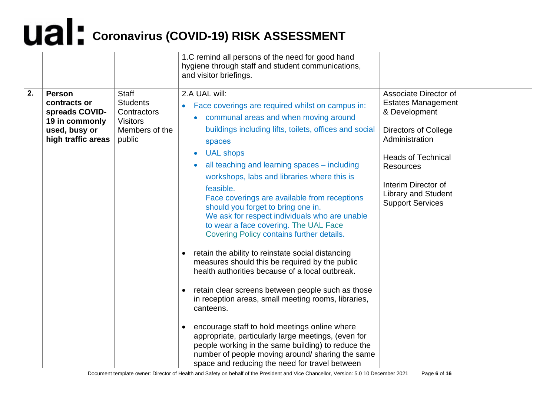|    |                                                                                                          |                                                                                               | 1.C remind all persons of the need for good hand<br>hygiene through staff and student communications,<br>and visitor briefings.                                                                                                                                                                                                                                                                                                                                                                                                                                                                                                                                                                                                                                                                                                                                                                                                                                                                                                                                                                                                                                      |                                                                                                                                                                                                                                                       |  |
|----|----------------------------------------------------------------------------------------------------------|-----------------------------------------------------------------------------------------------|----------------------------------------------------------------------------------------------------------------------------------------------------------------------------------------------------------------------------------------------------------------------------------------------------------------------------------------------------------------------------------------------------------------------------------------------------------------------------------------------------------------------------------------------------------------------------------------------------------------------------------------------------------------------------------------------------------------------------------------------------------------------------------------------------------------------------------------------------------------------------------------------------------------------------------------------------------------------------------------------------------------------------------------------------------------------------------------------------------------------------------------------------------------------|-------------------------------------------------------------------------------------------------------------------------------------------------------------------------------------------------------------------------------------------------------|--|
| 2. | <b>Person</b><br>contracts or<br>spreads COVID-<br>19 in commonly<br>used, busy or<br>high traffic areas | <b>Staff</b><br><b>Students</b><br>Contractors<br><b>Visitors</b><br>Members of the<br>public | 2.A UAL will:<br>Face coverings are required whilst on campus in:<br>$\bullet$<br>• communal areas and when moving around<br>buildings including lifts, toilets, offices and social<br>spaces<br><b>UAL shops</b><br>$\bullet$<br>all teaching and learning spaces - including<br>$\bullet$<br>workshops, labs and libraries where this is<br>feasible.<br>Face coverings are available from receptions<br>should you forget to bring one in.<br>We ask for respect individuals who are unable<br>to wear a face covering. The UAL Face<br>Covering Policy contains further details.<br>retain the ability to reinstate social distancing<br>$\bullet$<br>measures should this be required by the public<br>health authorities because of a local outbreak.<br>retain clear screens between people such as those<br>in reception areas, small meeting rooms, libraries,<br>canteens.<br>encourage staff to hold meetings online where<br>$\bullet$<br>appropriate, particularly large meetings, (even for<br>people working in the same building) to reduce the<br>number of people moving around/sharing the same<br>space and reducing the need for travel between | Associate Director of<br><b>Estates Management</b><br>& Development<br><b>Directors of College</b><br>Administration<br><b>Heads of Technical</b><br><b>Resources</b><br>Interim Director of<br><b>Library and Student</b><br><b>Support Services</b> |  |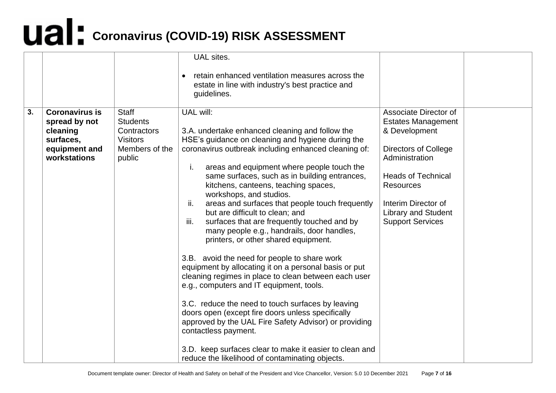|    |                                                                                                  |                                                                                               | UAL sites.                                                                                                                                                                                                                                                                                                                                                                                                                                                                                                                                                                                                                                                                                                                                                                                                                                                                                                                                                                                                                                                                                                        |                                                                                                                                                                                                                                                       |  |
|----|--------------------------------------------------------------------------------------------------|-----------------------------------------------------------------------------------------------|-------------------------------------------------------------------------------------------------------------------------------------------------------------------------------------------------------------------------------------------------------------------------------------------------------------------------------------------------------------------------------------------------------------------------------------------------------------------------------------------------------------------------------------------------------------------------------------------------------------------------------------------------------------------------------------------------------------------------------------------------------------------------------------------------------------------------------------------------------------------------------------------------------------------------------------------------------------------------------------------------------------------------------------------------------------------------------------------------------------------|-------------------------------------------------------------------------------------------------------------------------------------------------------------------------------------------------------------------------------------------------------|--|
|    |                                                                                                  |                                                                                               | retain enhanced ventilation measures across the<br>estate in line with industry's best practice and<br>guidelines.                                                                                                                                                                                                                                                                                                                                                                                                                                                                                                                                                                                                                                                                                                                                                                                                                                                                                                                                                                                                |                                                                                                                                                                                                                                                       |  |
| 3. | <b>Coronavirus is</b><br>spread by not<br>cleaning<br>surfaces,<br>equipment and<br>workstations | <b>Staff</b><br><b>Students</b><br>Contractors<br><b>Visitors</b><br>Members of the<br>public | UAL will:<br>3.A. undertake enhanced cleaning and follow the<br>HSE's guidance on cleaning and hygiene during the<br>coronavirus outbreak including enhanced cleaning of:<br>areas and equipment where people touch the<br>i.<br>same surfaces, such as in building entrances,<br>kitchens, canteens, teaching spaces,<br>workshops, and studios.<br>ii.<br>areas and surfaces that people touch frequently<br>but are difficult to clean; and<br>surfaces that are frequently touched and by<br>iii.<br>many people e.g., handrails, door handles,<br>printers, or other shared equipment.<br>3.B. avoid the need for people to share work<br>equipment by allocating it on a personal basis or put<br>cleaning regimes in place to clean between each user<br>e.g., computers and IT equipment, tools.<br>3.C. reduce the need to touch surfaces by leaving<br>doors open (except fire doors unless specifically<br>approved by the UAL Fire Safety Advisor) or providing<br>contactless payment.<br>3.D. keep surfaces clear to make it easier to clean and<br>reduce the likelihood of contaminating objects. | Associate Director of<br><b>Estates Management</b><br>& Development<br><b>Directors of College</b><br>Administration<br><b>Heads of Technical</b><br><b>Resources</b><br>Interim Director of<br><b>Library and Student</b><br><b>Support Services</b> |  |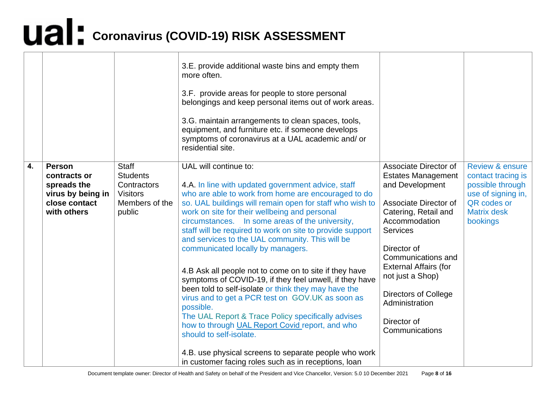|    |                                                                                                   |                                                                                               | 3.E. provide additional waste bins and empty them<br>more often.<br>3.F. provide areas for people to store personal<br>belongings and keep personal items out of work areas.<br>3.G. maintain arrangements to clean spaces, tools,<br>equipment, and furniture etc. if someone develops<br>symptoms of coronavirus at a UAL academic and/or<br>residential site.                                                                                                                                                                                                                                                                                                                                                                                                                                                                                                                                                                                           |                                                                                                                                                                                                                                                                                                                                |                                                                                                                                             |
|----|---------------------------------------------------------------------------------------------------|-----------------------------------------------------------------------------------------------|------------------------------------------------------------------------------------------------------------------------------------------------------------------------------------------------------------------------------------------------------------------------------------------------------------------------------------------------------------------------------------------------------------------------------------------------------------------------------------------------------------------------------------------------------------------------------------------------------------------------------------------------------------------------------------------------------------------------------------------------------------------------------------------------------------------------------------------------------------------------------------------------------------------------------------------------------------|--------------------------------------------------------------------------------------------------------------------------------------------------------------------------------------------------------------------------------------------------------------------------------------------------------------------------------|---------------------------------------------------------------------------------------------------------------------------------------------|
| 4. | <b>Person</b><br>contracts or<br>spreads the<br>virus by being in<br>close contact<br>with others | <b>Staff</b><br><b>Students</b><br>Contractors<br><b>Visitors</b><br>Members of the<br>public | UAL will continue to:<br>4.A. In line with updated government advice, staff<br>who are able to work from home are encouraged to do<br>so. UAL buildings will remain open for staff who wish to<br>work on site for their wellbeing and personal<br>circumstances. In some areas of the university,<br>staff will be required to work on site to provide support<br>and services to the UAL community. This will be<br>communicated locally by managers.<br>4.B Ask all people not to come on to site if they have<br>symptoms of COVID-19, if they feel unwell, if they have<br>been told to self-isolate or think they may have the<br>virus and to get a PCR test on GOV.UK as soon as<br>possible.<br>The UAL Report & Trace Policy specifically advises<br>how to through UAL Report Covid report, and who<br>should to self-isolate.<br>4.B. use physical screens to separate people who work<br>in customer facing roles such as in receptions, loan | Associate Director of<br><b>Estates Management</b><br>and Development<br>Associate Director of<br>Catering, Retail and<br>Accommodation<br>Services<br>Director of<br>Communications and<br><b>External Affairs (for</b><br>not just a Shop)<br><b>Directors of College</b><br>Administration<br>Director of<br>Communications | <b>Review &amp; ensure</b><br>contact tracing is<br>possible through<br>use of signing in,<br>QR codes or<br><b>Matrix desk</b><br>bookings |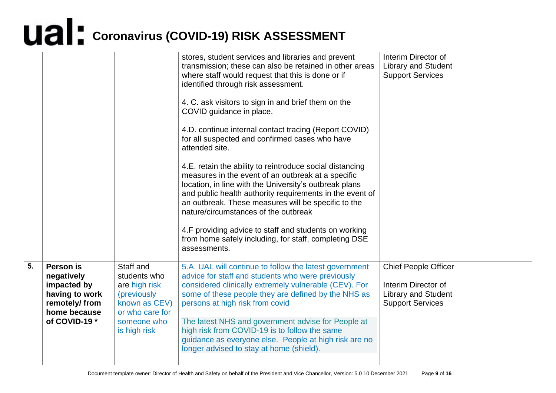|    |                                                                                                            |                                                                                                                              | stores, student services and libraries and prevent<br>transmission; these can also be retained in other areas<br>where staff would request that this is done or if<br>identified through risk assessment.<br>4. C. ask visitors to sign in and brief them on the<br>COVID guidance in place.<br>4.D. continue internal contact tracing (Report COVID)<br>for all suspected and confirmed cases who have<br>attended site.<br>4.E. retain the ability to reintroduce social distancing<br>measures in the event of an outbreak at a specific<br>location, in line with the University's outbreak plans<br>and public health authority requirements in the event of<br>an outbreak. These measures will be specific to the<br>nature/circumstances of the outbreak<br>4.F providing advice to staff and students on working<br>from home safely including, for staff, completing DSE<br>assessments. | Interim Director of<br><b>Library and Student</b><br><b>Support Services</b>                                |  |
|----|------------------------------------------------------------------------------------------------------------|------------------------------------------------------------------------------------------------------------------------------|----------------------------------------------------------------------------------------------------------------------------------------------------------------------------------------------------------------------------------------------------------------------------------------------------------------------------------------------------------------------------------------------------------------------------------------------------------------------------------------------------------------------------------------------------------------------------------------------------------------------------------------------------------------------------------------------------------------------------------------------------------------------------------------------------------------------------------------------------------------------------------------------------|-------------------------------------------------------------------------------------------------------------|--|
| 5. | Person is<br>negatively<br>impacted by<br>having to work<br>remotely/from<br>home because<br>of COVID-19 * | Staff and<br>students who<br>are high risk<br>(previously<br>known as CEV)<br>or who care for<br>someone who<br>is high risk | 5.A. UAL will continue to follow the latest government<br>advice for staff and students who were previously<br>considered clinically extremely vulnerable (CEV). For<br>some of these people they are defined by the NHS as<br>persons at high risk from covid<br>The latest NHS and government advise for People at<br>high risk from COVID-19 is to follow the same<br>guidance as everyone else. People at high risk are no<br>longer advised to stay at home (shield).                                                                                                                                                                                                                                                                                                                                                                                                                         | <b>Chief People Officer</b><br>Interim Director of<br><b>Library and Student</b><br><b>Support Services</b> |  |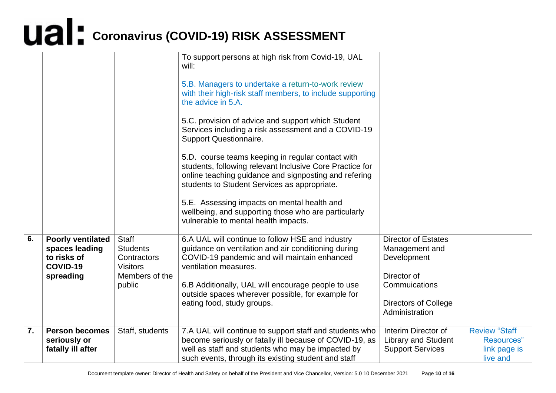|                  |                                                                                    |                                                                                               | To support persons at high risk from Covid-19, UAL<br>will:<br>5.B. Managers to undertake a return-to-work review<br>with their high-risk staff members, to include supporting<br>the advice in 5.A.<br>5.C. provision of advice and support which Student<br>Services including a risk assessment and a COVID-19<br><b>Support Questionnaire.</b><br>5.D. course teams keeping in regular contact with<br>students, following relevant Inclusive Core Practice for<br>online teaching guidance and signposting and refering<br>students to Student Services as appropriate.<br>5.E. Assessing impacts on mental health and<br>wellbeing, and supporting those who are particularly<br>vulnerable to mental health impacts. |                                                                                                                                              |                                                                |
|------------------|------------------------------------------------------------------------------------|-----------------------------------------------------------------------------------------------|-----------------------------------------------------------------------------------------------------------------------------------------------------------------------------------------------------------------------------------------------------------------------------------------------------------------------------------------------------------------------------------------------------------------------------------------------------------------------------------------------------------------------------------------------------------------------------------------------------------------------------------------------------------------------------------------------------------------------------|----------------------------------------------------------------------------------------------------------------------------------------------|----------------------------------------------------------------|
| 6.               | <b>Poorly ventilated</b><br>spaces leading<br>to risks of<br>COVID-19<br>spreading | <b>Staff</b><br><b>Students</b><br>Contractors<br><b>Visitors</b><br>Members of the<br>public | 6.A UAL will continue to follow HSE and industry<br>guidance on ventilation and air conditioning during<br>COVID-19 pandemic and will maintain enhanced<br>ventilation measures.<br>6.B Additionally, UAL will encourage people to use<br>outside spaces wherever possible, for example for<br>eating food, study groups.                                                                                                                                                                                                                                                                                                                                                                                                   | <b>Director of Estates</b><br>Management and<br>Development<br>Director of<br>Commuications<br><b>Directors of College</b><br>Administration |                                                                |
| $\overline{7}$ . | <b>Person becomes</b><br>seriously or<br>fatally ill after                         | Staff, students                                                                               | 7.A UAL will continue to support staff and students who<br>become seriously or fatally ill because of COVID-19, as<br>well as staff and students who may be impacted by<br>such events, through its existing student and staff                                                                                                                                                                                                                                                                                                                                                                                                                                                                                              | Interim Director of<br><b>Library and Student</b><br><b>Support Services</b>                                                                 | <b>Review "Staff</b><br>Resources"<br>link page is<br>live and |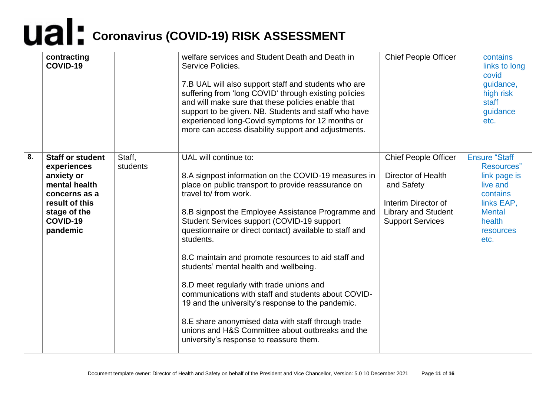|    | contracting<br>COVID-19                                                                                                                          |                    | welfare services and Student Death and Death in<br>Service Policies.<br>7.B UAL will also support staff and students who are<br>suffering from 'long COVID' through existing policies<br>and will make sure that these policies enable that<br>support to be given. NB. Students and staff who have<br>experienced long-Covid symptoms for 12 months or<br>more can access disability support and adjustments.                                                                                                                                                                                                                                                                                                                                          | <b>Chief People Officer</b>                                                                                                                     | contains<br>links to long<br>covid<br>guidance,<br>high risk<br>staff<br>guidance<br>etc.                                                |
|----|--------------------------------------------------------------------------------------------------------------------------------------------------|--------------------|---------------------------------------------------------------------------------------------------------------------------------------------------------------------------------------------------------------------------------------------------------------------------------------------------------------------------------------------------------------------------------------------------------------------------------------------------------------------------------------------------------------------------------------------------------------------------------------------------------------------------------------------------------------------------------------------------------------------------------------------------------|-------------------------------------------------------------------------------------------------------------------------------------------------|------------------------------------------------------------------------------------------------------------------------------------------|
| 8. | <b>Staff or student</b><br>experiences<br>anxiety or<br>mental health<br>concerns as a<br>result of this<br>stage of the<br>COVID-19<br>pandemic | Staff,<br>students | UAL will continue to:<br>8.A signpost information on the COVID-19 measures in<br>place on public transport to provide reassurance on<br>travel to/ from work.<br>8.B signpost the Employee Assistance Programme and<br>Student Services support (COVID-19 support<br>questionnaire or direct contact) available to staff and<br>students.<br>8.C maintain and promote resources to aid staff and<br>students' mental health and wellbeing.<br>8.D meet regularly with trade unions and<br>communications with staff and students about COVID-<br>19 and the university's response to the pandemic.<br>8.E share anonymised data with staff through trade<br>unions and H&S Committee about outbreaks and the<br>university's response to reassure them. | <b>Chief People Officer</b><br>Director of Health<br>and Safety<br>Interim Director of<br><b>Library and Student</b><br><b>Support Services</b> | <b>Ensure "Staff</b><br>Resources"<br>link page is<br>live and<br>contains<br>links EAP,<br><b>Mental</b><br>health<br>resources<br>etc. |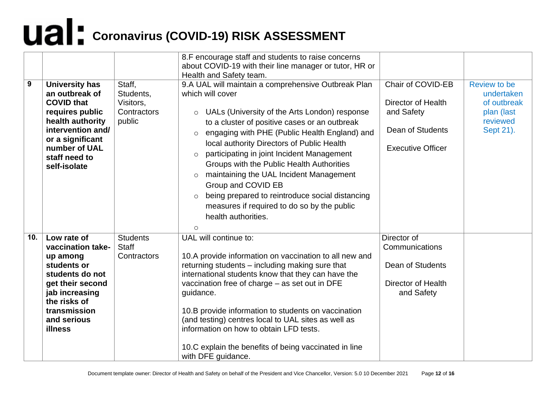| 9   | <b>University has</b><br>an outbreak of<br><b>COVID that</b><br>requires public<br>health authority<br>intervention and/<br>or a significant<br>number of UAL<br>staff need to<br>self-isolate | Staff,<br>Students,<br>Visitors,<br>Contractors<br>public | 8.F encourage staff and students to raise concerns<br>about COVID-19 with their line manager or tutor, HR or<br>Health and Safety team.<br>9.A UAL will maintain a comprehensive Outbreak Plan<br>which will cover<br>UALs (University of the Arts London) response<br>$\circ$<br>to a cluster of positive cases or an outbreak<br>engaging with PHE (Public Health England) and<br>$\circ$<br>local authority Directors of Public Health<br>participating in joint Incident Management<br>$\circ$<br>Groups with the Public Health Authorities<br>maintaining the UAL Incident Management<br>$\circ$<br>Group and COVID EB<br>being prepared to reintroduce social distancing<br>$\circ$<br>measures if required to do so by the public<br>health authorities. | Chair of COVID-EB<br><b>Director of Health</b><br>and Safety<br>Dean of Students<br><b>Executive Officer</b> | <b>Review to be</b><br>undertaken<br>of outbreak<br>plan (last<br>reviewed<br>Sept 21). |
|-----|------------------------------------------------------------------------------------------------------------------------------------------------------------------------------------------------|-----------------------------------------------------------|-----------------------------------------------------------------------------------------------------------------------------------------------------------------------------------------------------------------------------------------------------------------------------------------------------------------------------------------------------------------------------------------------------------------------------------------------------------------------------------------------------------------------------------------------------------------------------------------------------------------------------------------------------------------------------------------------------------------------------------------------------------------|--------------------------------------------------------------------------------------------------------------|-----------------------------------------------------------------------------------------|
| 10. | Low rate of<br>vaccination take-<br>up among<br>students or<br>students do not<br>get their second<br>jab increasing<br>the risks of<br>transmission<br>and serious<br><b>illness</b>          | <b>Students</b><br><b>Staff</b><br>Contractors            | $\circ$<br>UAL will continue to:<br>10.A provide information on vaccination to all new and<br>returning students – including making sure that<br>international students know that they can have the<br>vaccination free of charge - as set out in DFE<br>guidance.<br>10.B provide information to students on vaccination<br>(and testing) centres local to UAL sites as well as<br>information on how to obtain LFD tests.<br>10.C explain the benefits of being vaccinated in line<br>with DFE guidance.                                                                                                                                                                                                                                                      | Director of<br>Communications<br>Dean of Students<br>Director of Health<br>and Safety                        |                                                                                         |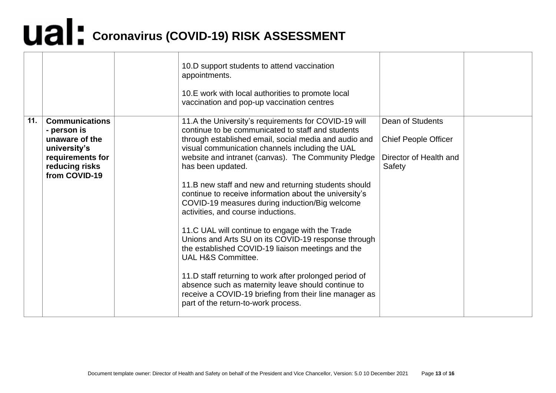|     |                                                                                                                               | 10.D support students to attend vaccination<br>appointments.<br>10.E work with local authorities to promote local<br>vaccination and pop-up vaccination centres                                                                                                                                                                                                                                                                                                                                                                                                                                                                                                                                                                                                                                                                                                                                                   |                                                                                     |  |
|-----|-------------------------------------------------------------------------------------------------------------------------------|-------------------------------------------------------------------------------------------------------------------------------------------------------------------------------------------------------------------------------------------------------------------------------------------------------------------------------------------------------------------------------------------------------------------------------------------------------------------------------------------------------------------------------------------------------------------------------------------------------------------------------------------------------------------------------------------------------------------------------------------------------------------------------------------------------------------------------------------------------------------------------------------------------------------|-------------------------------------------------------------------------------------|--|
| 11. | <b>Communications</b><br>- person is<br>unaware of the<br>university's<br>requirements for<br>reducing risks<br>from COVID-19 | 11.A the University's requirements for COVID-19 will<br>continue to be communicated to staff and students<br>through established email, social media and audio and<br>visual communication channels including the UAL<br>website and intranet (canvas). The Community Pledge<br>has been updated.<br>11.B new staff and new and returning students should<br>continue to receive information about the university's<br>COVID-19 measures during induction/Big welcome<br>activities, and course inductions.<br>11.C UAL will continue to engage with the Trade<br>Unions and Arts SU on its COVID-19 response through<br>the established COVID-19 liaison meetings and the<br>UAL H&S Committee.<br>11.D staff returning to work after prolonged period of<br>absence such as maternity leave should continue to<br>receive a COVID-19 briefing from their line manager as<br>part of the return-to-work process. | Dean of Students<br><b>Chief People Officer</b><br>Director of Health and<br>Safety |  |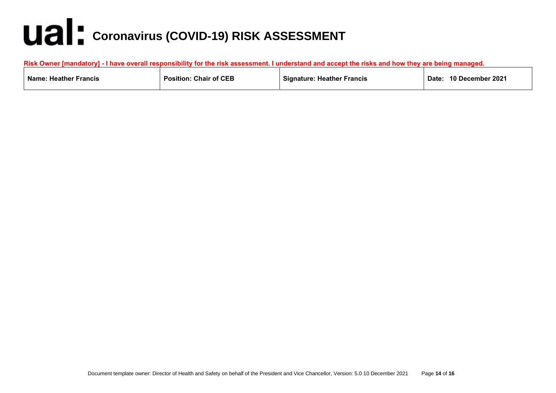| <b>Risk Owner [mandatory]</b><br>i - I have overall responsibility for the risk assessment. I understand and accept the risks and how they are being managed. |                               |                                   |                           |  |  |  |  |
|---------------------------------------------------------------------------------------------------------------------------------------------------------------|-------------------------------|-----------------------------------|---------------------------|--|--|--|--|
| <b>Name: Heather Francis</b>                                                                                                                                  | <b>Position: Chair of CEB</b> | <b>Signature: Heather Francis</b> | 10 December 2021<br>Date: |  |  |  |  |